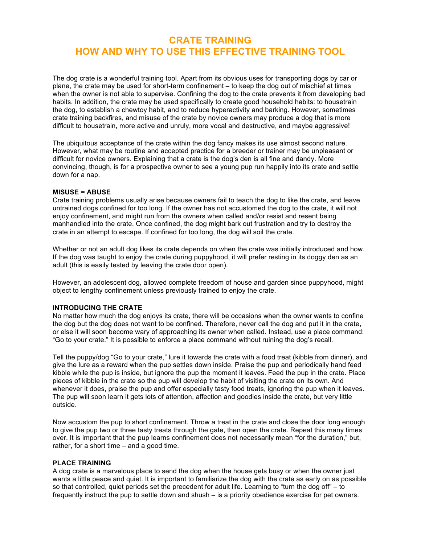# **CRATE TRAINING HOW AND WHY TO USE THIS EFFECTIVE TRAINING TOOL**

The dog crate is a wonderful training tool. Apart from its obvious uses for transporting dogs by car or plane, the crate may be used for short-term confinement – to keep the dog out of mischief at times when the owner is not able to supervise. Confining the dog to the crate prevents it from developing bad habits. In addition, the crate may be used specifically to create good household habits: to housetrain the dog, to establish a chewtoy habit, and to reduce hyperactivity and barking. However, sometimes crate training backfires, and misuse of the crate by novice owners may produce a dog that is more difficult to housetrain, more active and unruly, more vocal and destructive, and maybe aggressive!

The ubiquitous acceptance of the crate within the dog fancy makes its use almost second nature. However, what may be routine and accepted practice for a breeder or trainer may be unpleasant or difficult for novice owners. Explaining that a crate is the dog's den is all fine and dandy. More convincing, though, is for a prospective owner to see a young pup run happily into its crate and settle down for a nap.

### **MISUSE = ABUSE**

Crate training problems usually arise because owners fail to teach the dog to like the crate, and leave untrained dogs confined for too long. If the owner has not accustomed the dog to the crate, it will not enjoy confinement, and might run from the owners when called and/or resist and resent being manhandled into the crate. Once confined, the dog might bark out frustration and try to destroy the crate in an attempt to escape. If confined for too long, the dog will soil the crate.

Whether or not an adult dog likes its crate depends on when the crate was initially introduced and how. If the dog was taught to enjoy the crate during puppyhood, it will prefer resting in its doggy den as an adult (this is easily tested by leaving the crate door open).

However, an adolescent dog, allowed complete freedom of house and garden since puppyhood, might object to lengthy confinement unless previously trained to enjoy the crate.

# **INTRODUCING THE CRATE**

No matter how much the dog enjoys its crate, there will be occasions when the owner wants to confine the dog but the dog does not want to be confined. Therefore, never call the dog and put it in the crate, or else it will soon become wary of approaching its owner when called. Instead, use a place command: "Go to your crate." It is possible to enforce a place command without ruining the dog's recall.

Tell the puppy/dog "Go to your crate," lure it towards the crate with a food treat (kibble from dinner), and give the lure as a reward when the pup settles down inside. Praise the pup and periodically hand feed kibble while the pup is inside, but ignore the pup the moment it leaves. Feed the pup in the crate. Place pieces of kibble in the crate so the pup will develop the habit of visiting the crate on its own. And whenever it does, praise the pup and offer especially tasty food treats, ignoring the pup when it leaves. The pup will soon learn it gets lots of attention, affection and goodies inside the crate, but very little outside.

Now accustom the pup to short confinement. Throw a treat in the crate and close the door long enough to give the pup two or three tasty treats through the gate, then open the crate. Repeat this many times over. It is important that the pup learns confinement does not necessarily mean "for the duration," but, rather, for a short time – and a good time.

#### **PLACE TRAINING**

A dog crate is a marvelous place to send the dog when the house gets busy or when the owner just wants a little peace and quiet. It is important to familiarize the dog with the crate as early on as possible so that controlled, quiet periods set the precedent for adult life. Learning to "turn the dog off" – to frequently instruct the pup to settle down and shush – is a priority obedience exercise for pet owners.